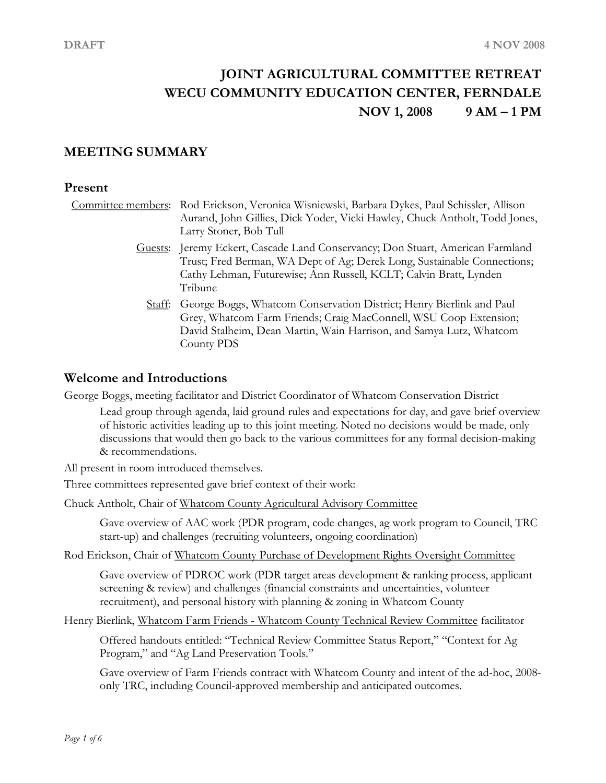# **JOINT AGRICULTURAL COMMITTEE RETREAT WECU COMMUNITY EDUCATION CENTER, FERNDALE NOV 1, 2008 9 AM – 1 PM**

# **MEETING SUMMARY**

#### **Present**

Committee members: Rod Erickson, Veronica Wisniewski, Barbara Dykes, Paul Schissler, Allison Aurand, John Gillies, Dick Yoder, Vicki Hawley, Chuck Antholt, Todd Jones, Larry Stoner, Bob Tull

- Guests: Jeremy Eckert, Cascade Land Conservancy; Don Stuart, American Farmland Trust; Fred Berman, WA Dept of Ag; Derek Long, Sustainable Connections; Cathy Lehman, Futurewise; Ann Russell, KCLT; Calvin Bratt, Lynden Tribune
	- Staff: George Boggs, Whatcom Conservation District; Henry Bierlink and Paul Grey, Whatcom Farm Friends; Craig MacConnell, WSU Coop Extension; David Stalheim, Dean Martin, Wain Harrison, and Samya Lutz, Whatcom County PDS

## **Welcome and Introductions**

George Boggs, meeting facilitator and District Coordinator of Whatcom Conservation District

Lead group through agenda, laid ground rules and expectations for day, and gave brief overview of historic activities leading up to this joint meeting. Noted no decisions would be made, only discussions that would then go back to the various committees for any formal decision-making & recommendations.

All present in room introduced themselves.

Three committees represented gave brief context of their work:

Chuck Antholt, Chair of Whatcom County Agricultural Advisory Committee

Gave overview of AAC work (PDR program, code changes, ag work program to Council, TRC start-up) and challenges (recruiting volunteers, ongoing coordination)

Rod Erickson, Chair of Whatcom County Purchase of Development Rights Oversight Committee

Gave overview of PDROC work (PDR target areas development & ranking process, applicant screening & review) and challenges (financial constraints and uncertainties, volunteer recruitment), and personal history with planning & zoning in Whatcom County

Henry Bierlink, Whatcom Farm Friends - Whatcom County Technical Review Committee facilitator

Offered handouts entitled: "Technical Review Committee Status Report," "Context for Ag Program," and "Ag Land Preservation Tools."

Gave overview of Farm Friends contract with Whatcom County and intent of the ad-hoc, 2008 only TRC, including Council-approved membership and anticipated outcomes.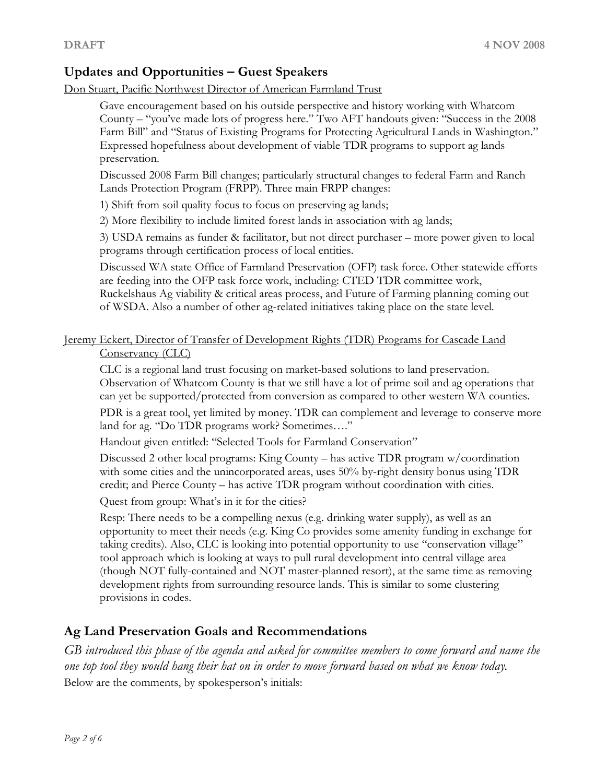# **Updates and Opportunities – Guest Speakers**

Don Stuart, Pacific Northwest Director of American Farmland Trust

Gave encouragement based on his outside perspective and history working with Whatcom County – "you've made lots of progress here." Two AFT handouts given: "Success in the 2008 Farm Bill" and "Status of Existing Programs for Protecting Agricultural Lands in Washington." Expressed hopefulness about development of viable TDR programs to support ag lands

preservation.<br>Discussed 2008 Farm Bill changes; particularly structural changes to federal Farm and Ranch Lands Protection Program (FRPP). Three main FRPP changes:

1) Shift from soil quality focus to focus on preserving ag lands;

2) More flexibility to include limited forest lands in association with ag lands;

3) USDA remains as funder & facilitator, but not direct purchaser – more power given to local programs through certification process of local entities.

Discussed WA state Office of Farmland Preservation (OFP) task force. Other statewide efforts are feeding into the OFP task force work, including: CTED TDR committee work, Ruckelshaus Ag viability & critical areas process, and Future of Farming planning coming out of WSDA. Also a number of other ag-related initiatives taking place on the state level.

Jeremy Eckert, Director of Transfer of Development Rights (TDR) Programs for Cascade Land Conservancy (CLC)

CLC is a regional land trust focusing on market-based solutions to land preservation. Observation of Whatcom County is that we still have a lot of prime soil and ag operations that can yet be supported/protected from conversion as compared to other western WA counties.

PDR is a great tool, yet limited by money. TDR can complement and leverage to conserve more land for ag. "Do TDR programs work? Sometimes…."

Handout given entitled: "Selected Tools for Farmland Conservation"

Discussed 2 other local programs: King County – has active TDR program w/coordination with some cities and the unincorporated areas, uses 50% by-right density bonus using TDR credit; and Pierce County – has active TDR program without coordination with cities.

Quest from group: What's in it for the cities?

Resp: There needs to be a compelling nexus (e.g. drinking water supply), as well as an opportunity to meet their needs (e.g. King Co provides some amenity funding in exchange for taking credits). Also, CLC is looking into potential opportunity to use "conservation village" tool approach which is looking at ways to pull rural development into central village area (though NOT fully-contained and NOT master-planned resort), at the same time as removing development rights from surrounding resource lands. This is similar to some clustering provisions in codes.

# **Ag Land Preservation Goals and Recommendations**

*GB introduced this phase of the agenda and asked for committee members to come forward and name the one top tool they would hang their hat on in order to move forward based on what we know today.* Below are the comments, by spokesperson's initials: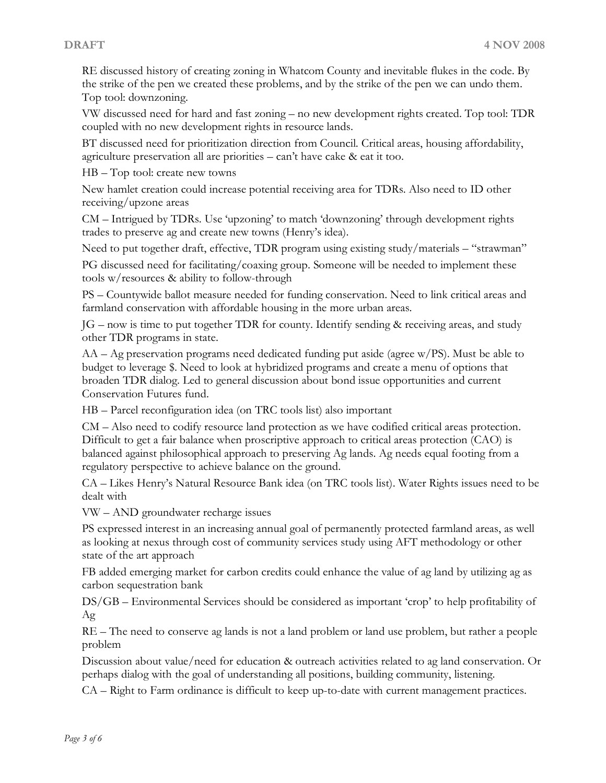RE discussed history of creating zoning in Whatcom County and inevitable flukes in the code. By the strike of the pen we created these problems, and by the strike of the pen we can undo them. Top tool: downzoning. VW discussed need for hard and fast zoning – no new development rights created. Top tool: TDR

coupled with no new development rights in resource lands.

BT discussed need for prioritization direction from Council. Critical areas, housing affordability, agriculture preservation all are priorities – can't have cake & eat it too. HB – Top tool: create new towns

New hamlet creation could increase potential receiving area for TDRs. Also need to ID other receiving/upzone areas

CM – Intrigued by TDRs. Use 'upzoning' to match 'downzoning' through development rights trades to preserve ag and create new towns (Henry's idea).

Need to put together draft, effective, TDR program using existing study/materials – "strawman"

PG discussed need for facilitating/coaxing group. Someone will be needed to implement these tools w/resources & ability to follow-through

PS – Countywide ballot measure needed for funding conservation. Need to link critical areas and farmland conservation with affordable housing in the more urban areas.

JG – now is time to put together TDR for county. Identify sending & receiving areas, and study other TDR programs in state. AA – Ag preservation programs need dedicated funding put aside (agree w/PS). Must be able to

budget to leverage \$. Need to look at hybridized programs and create a menu of options that broaden TDR dialog. Led to general discussion about bond issue opportunities and current Conservation Futures fund.

HB – Parcel reconfiguration idea (on TRC tools list) also important

CM – Also need to codify resource land protection as we have codified critical areas protection. Difficult to get a fair balance when proscriptive approach to critical areas protection (CAO) is balanced against philosophical approach to preserving Ag lands. Ag needs equal footing from a regulatory perspective to achieve balance on the ground.

CA – Likes Henry's Natural Resource Bank idea (on TRC tools list). Water Rights issues need to be dealt with

VW – AND groundwater recharge issues

PS expressed interest in an increasing annual goal of permanently protected farmland areas, as well as looking at nexus through cost of community services study using AFT methodology or other state of the art approach

FB added emerging market for carbon credits could enhance the value of ag land by utilizing ag as carbon sequestration bank

DS/GB – Environmental Services should be considered as important 'crop' to help profitability of Ag

RE – The need to conserve ag lands is not a land problem or land use problem, but rather a people problem

Discussion about value/need for education & outreach activities related to ag land conservation. Or perhaps dialog with the goal of understanding all positions, building community, listening. CA – Right to Farm ordinance is difficult to keep up-to-date with current management practices.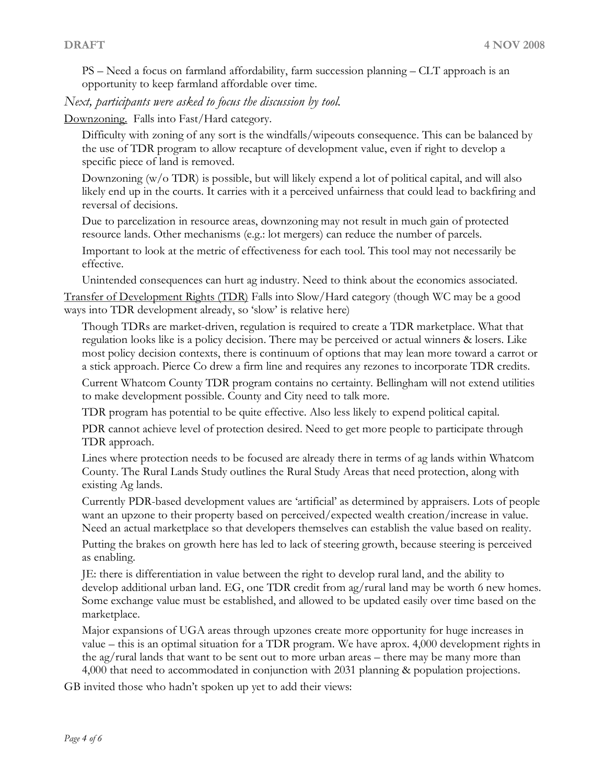PS – Need a focus on farmland affordability, farm succession planning – CLT approach is an opportunity to keep farmland affordable over time.

*Next, participants were asked to focus the discussion by tool.*

Downzoning. Falls into Fast/Hard category.

Difficulty with zoning of any sort is the windfalls/wipeouts consequence. This can be balanced by the use of TDR program to allow recapture of development value, even if right to develop a specific piece of land is removed.

Downzoning (w/o TDR) is possible, but will likely expend a lot of political capital, and will also likely end up in the courts. It carries with it a perceived unfairness that could lead to backfiring and reversal of decisions.

Due to parcelization in resource areas, downzoning may not result in much gain of protected resource lands. Other mechanisms (e.g.: lot mergers) can reduce the number of parcels.

Important to look at the metric of effectiveness for each tool. This tool may not necessarily be effective.

Unintended consequences can hurt ag industry. Need to think about the economics associated. Transfer of Development Rights (TDR) Falls into Slow/Hard category (though WC may be a good ways into TDR development already, so 'slow' is relative here)

Though TDRs are market-driven, regulation is required to create a TDR marketplace. What that regulation looks like is a policy decision. There may be perceived or actual winners & losers. Like most policy decision contexts, there is continuum of options that may lean more toward a carrot or a stick approach. Pierce Co drew a firm line and requires any rezones to incorporate TDR credits.

Current Whatcom County TDR program contains no certainty. Bellingham will not extend utilities to make development possible. County and City need to talk more.

TDR program has potential to be quite effective. Also less likely to expend political capital. PDR cannot achieve level of protection desired. Need to get more people to participate through

TDR approach. Lines where protection needs to be focused are already there in terms of ag lands within Whatcom County. The Rural Lands Study outlines the Rural Study Areas that need protection, along with existing Ag lands.

Currently PDR-based development values are 'artificial' as determined by appraisers. Lots of people want an upzone to their property based on perceived/expected wealth creation/increase in value. Need an actual marketplace so that developers themselves can establish the value based on reality.

Putting the brakes on growth here has led to lack of steering growth, because steering is perceived as enabling.

JE: there is differentiation in value between the right to develop rural land, and the ability to develop additional urban land. EG, one TDR credit from ag/rural land may be worth 6 new homes. Some exchange value must be established, and allowed to be updated easily over time based on the marketplace.

Major expansions of UGA areas through upzones create more opportunity for huge increases in value – this is an optimal situation for a TDR program. We have aprox. 4,000 development rights in the ag/rural lands that want to be sent out to more urban areas – there may be many more than 4,000 that need to accommodated in conjunction with 2031 planning & population projections.

GB invited those who hadn't spoken up yet to add their views: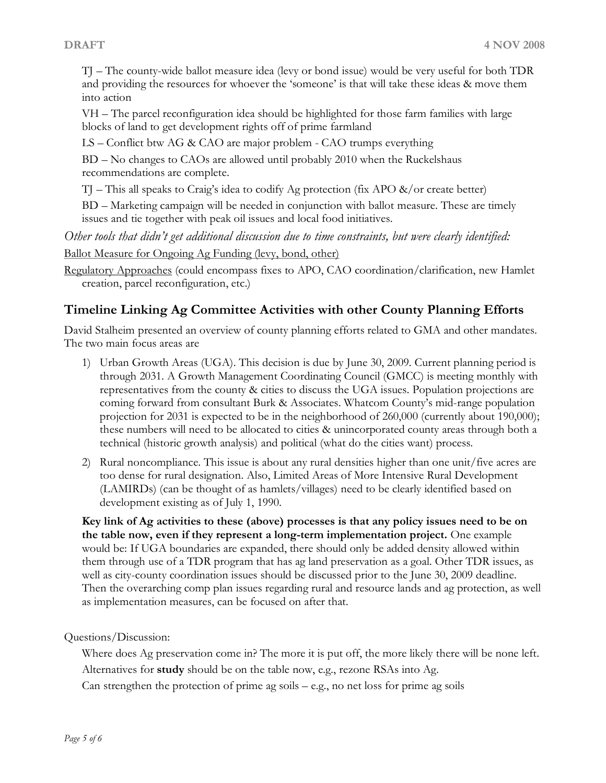TJ – The county-wide ballot measure idea (levy or bond issue) would be very useful for both TDR and providing the resources for whoever the 'someone' is that will take these ideas & move them into action

VH – The parcel reconfiguration idea should be highlighted for those farm families with large blocks of land to get development rights off of prime farmland

LS – Conflict btw AG & CAO are major problem - CAO trumps everything

BD – No changes to CAOs are allowed until probably 2010 when the Ruckelshaus recommendations are complete.

TJ – This all speaks to Craig's idea to codify Ag protection (fix APO &/or create better)

BD – Marketing campaign will be needed in conjunction with ballot measure. These are timely issues and tie together with peak oil issues and local food initiatives.

*Other tools that didn't get additional discussion due to time constraints, but were clearly identified:* Ballot Measure for Ongoing Ag Funding (levy, bond, other)

Regulatory Approaches (could encompass fixes to APO, CAO coordination/clarification, new Hamlet creation, parcel reconfiguration, etc.)

# **Timeline Linking Ag Committee Activities with other County Planning Efforts**

David Stalheim presented an overview of county planning efforts related to GMA and other mandates. The two main focus areas are

- 1) Urban Growth Areas (UGA). This decision is due by June 30, 2009. Current planning period is through 2031. A Growth Management Coordinating Council (GMCC) is meeting monthly with representatives from the county & cities to discuss the UGA issues. Population projections are coming forward from consultant Burk & Associates. Whatcom County's mid-range population projection for 2031 is expected to be in the neighborhood of 260,000 (currently about 190,000); these numbers will need to be allocated to cities & unincorporated county areas through both a technical (historic growth analysis) and political (what do the cities want) process.
- 2) Rural noncompliance. This issue is about any rural densities higher than one unit/five acres are too dense for rural designation. Also, Limited Areas of More Intensive Rural Development (LAMIRDs) (can be thought of as hamlets/villages) need to be clearly identified based on development existing as of July 1, 1990.

**Key link of Ag activities to these (above) processes is that any policy issues need to be on the table now, even ifthey represent a long-term implementation project.** One example would be: If UGA boundaries are expanded, there should only be added density allowed within them through use of a TDR program that has ag land preservation as a goal. Other TDR issues, as well as city-county coordination issues should be discussed prior to the June 30, 2009 deadline. Then the overarching comp plan issues regarding rural and resource lands and ag protection, as well as implementation measures, can be focused on after that.

Questions/Discussion:

Where does Ag preservation come in? The more it is put off, the more likely there will be none left. Alternatives for **study** should be on the table now, e.g., rezone RSAs into Ag. Can strengthen the protection of prime ag soils  $-$  e.g., no net loss for prime ag soils